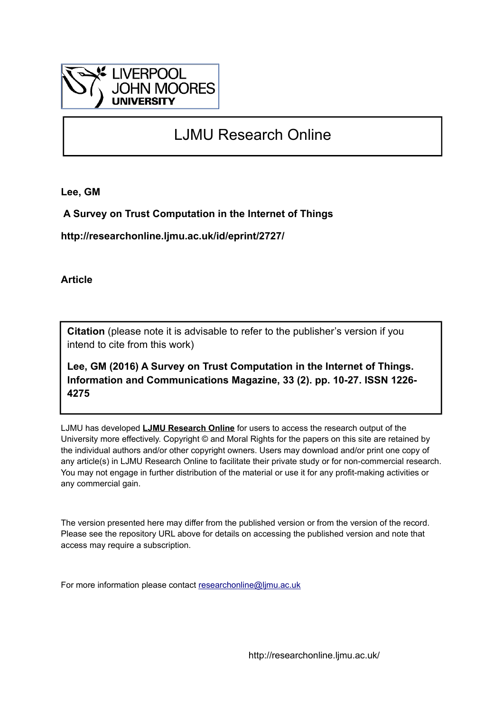

# LJMU Research Online

**Lee, GM**

 **A Survey on Trust Computation in the Internet of Things**

**http://researchonline.ljmu.ac.uk/id/eprint/2727/**

**Article**

**Citation** (please note it is advisable to refer to the publisher's version if you intend to cite from this work)

**Lee, GM (2016) A Survey on Trust Computation in the Internet of Things. Information and Communications Magazine, 33 (2). pp. 10-27. ISSN 1226- 4275** 

LJMU has developed **[LJMU Research Online](http://researchonline.ljmu.ac.uk/)** for users to access the research output of the University more effectively. Copyright © and Moral Rights for the papers on this site are retained by the individual authors and/or other copyright owners. Users may download and/or print one copy of any article(s) in LJMU Research Online to facilitate their private study or for non-commercial research. You may not engage in further distribution of the material or use it for any profit-making activities or any commercial gain.

The version presented here may differ from the published version or from the version of the record. Please see the repository URL above for details on accessing the published version and note that access may require a subscription.

For more information please contact [researchonline@ljmu.ac.uk](mailto:researchonline@ljmu.ac.uk)

http://researchonline.ljmu.ac.uk/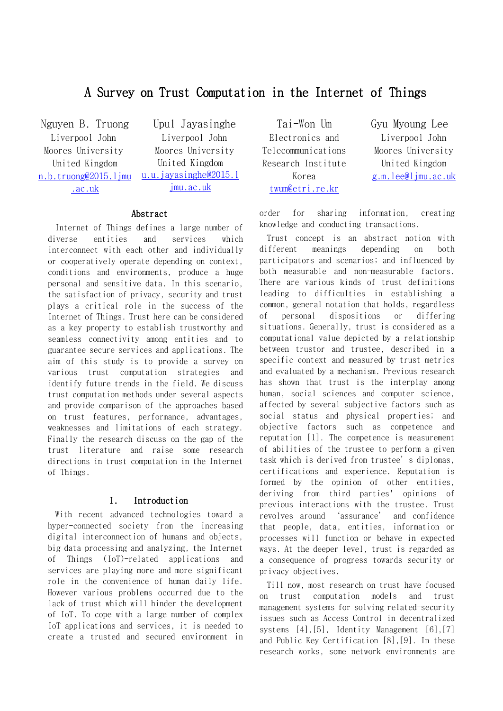## A Survey on Trust Computation in the Internet of Things

Nguyen B. Truong Liverpool John Moores University United Kingdom [n.b.truong@2015.ljmu](mailto:n.b.truong@2015.ljmu.ac.uk) [.ac.uk](mailto:n.b.truong@2015.ljmu.ac.uk)

Upul Jayasinghe Liverpool John Moores University United Kingdom [u.u.jayasinghe@2015.l](mailto:u.u.jayasinghe@2015.ljmu.ac.uk) [jmu.ac.uk](mailto:u.u.jayasinghe@2015.ljmu.ac.uk)

#### Abstract

Internet of Things defines a large number of diverse entities and services which interconnect with each other and individually or cooperatively operate depending on context, conditions and environments, produce a huge personal and sensitive data. In this scenario, the satisfaction of privacy, security and trust plays a critical role in the success of the Internet of Things. Trust here can be considered as a key property to establish trustworthy and seamless connectivity among entities and to guarantee secure services and applications. The aim of this study is to provide a survey on various trust computation strategies and identify future trends in the field. We discuss trust computation methods under several aspects and provide comparison of the approaches based on trust features, performance, advantages, weaknesses and limitations of each strategy. Finally the research discuss on the gap of the trust literature and raise some research directions in trust computation in the Internet of Things.

#### I. Introduction

With recent advanced technologies toward a hyper-connected society from the increasing digital interconnection of humans and objects, big data processing and analyzing, the Internet of Things (IoT)-related applications and services are playing more and more significant role in the convenience of human daily life. However various problems occurred due to the lack of trust which will hinder the development of IoT. To cope with a large number of complex IoT applications and services, it is needed to create a trusted and secured environment in

Tai-Won Um Electronics and Telecommunications Research Institute Korea [twum@etri.re.kr](mailto:twum@etri.re.kr)

Gyu Myoung Lee Liverpool John Moores University United Kingdom [g.m.lee@ljmu.ac.uk](mailto:g.m.lee@ljmu.ac.uk)

order for sharing information, creating knowledge and conducting transactions.

Trust concept is an abstract notion with different meanings depending on both participators and scenarios; and influenced by both measurable and non-measurable factors. There are various kinds of trust definitions leading to difficulties in establishing a common, general notation that holds, regardless of personal dispositions or differing situations. Generally, trust is considered as a computational value depicted by a relationship between trustor and trustee, described in a specific context and measured by trust metrics and evaluated by a mechanism. Previous research has shown that trust is the interplay among human, social sciences and computer science, affected by several subjective factors such as social status and physical properties; and objective factors such as competence and reputation [1]. The competence is measurement of abilities of the trustee to perform a given task which is derived from trustee's diplomas, certifications and experience. Reputation is formed by the opinion of other entities, deriving from third parties' opinions of previous interactions with the trustee. Trust revolves around 'assurance' and confidence that people, data, entities, information or processes will function or behave in expected ways. At the deeper level, trust is regarded as a consequence of progress towards security or privacy objectives.

Till now, most research on trust have focused on trust computation models and trust management systems for solving related-security issues such as Access Control in decentralized systems [4],[5], Identity Management [6],[7] and Public Key Certification [8],[9]. In these research works, some network environments are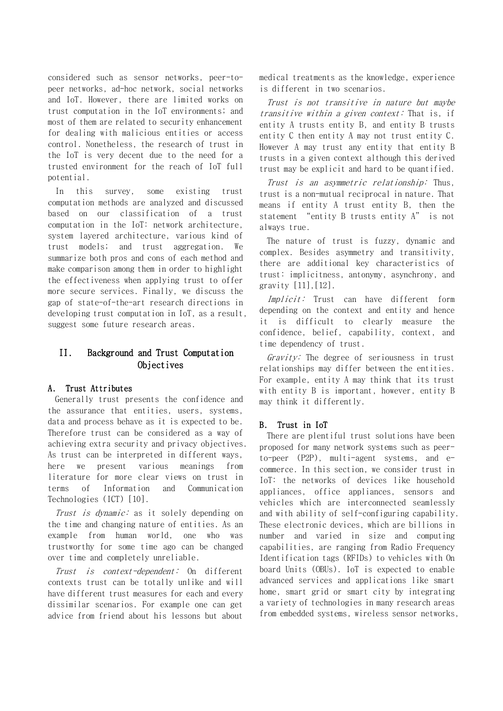considered such as sensor networks, peer-topeer networks, ad-hoc network, social networks and IoT. However, there are limited works on trust computation in the IoT environments; and most of them are related to security enhancement for dealing with malicious entities or access control. Nonetheless, the research of trust in the IoT is very decent due to the need for a trusted environment for the reach of IoT full potential.

In this survey, some existing trust computation methods are analyzed and discussed based on our classification of a trust computation in the IoT: network architecture, system layered architecture, various kind of trust models; and trust aggregation. We summarize both pros and cons of each method and make comparison among them in order to highlight the effectiveness when applying trust to offer more secure services. Finally, we discuss the gap of state-of-the-art research directions in developing trust computation in IoT, as a result, suggest some future research areas.

## II. Background and Trust Computation Objectives

#### A. Trust Attributes

Generally trust presents the confidence and the assurance that entities, users, systems, data and process behave as it is expected to be. Therefore trust can be considered as a way of achieving extra security and privacy objectives. As trust can be interpreted in different ways, here we present various meanings from literature for more clear views on trust in terms of Information and Communication Technologies (ICT) [10].

Trust is dynamic: as it solely depending on the time and changing nature of entities. As an example from human world, one who was trustworthy for some time ago can be changed over time and completely unreliable.

Trust is context-dependent: On different contexts trust can be totally unlike and will have different trust measures for each and every dissimilar scenarios. For example one can get advice from friend about his lessons but about

medical treatments as the knowledge, experience is different in two scenarios.

Trust is not transitive in nature but maybe transitive within a given context: That is, if entity A trusts entity B, and entity B trusts entity C then entity A may not trust entity C. However A may trust any entity that entity B trusts in a given context although this derived trust may be explicit and hard to be quantified.

Trust is an asymmetric relationship: Thus, trust is a non-mutual reciprocal in nature. That means if entity A trust entity B, then the statement "entity B trusts entity A" is not always true.

The nature of trust is fuzzy, dynamic and complex. Besides asymmetry and transitivity, there are additional key characteristics of trust: implicitness, antonymy, asynchrony, and gravity [11],[12].

Implicit: Trust can have different form depending on the context and entity and hence it is difficult to clearly measure the confidence, belief, capability, context, and time dependency of trust.

Gravity: The degree of seriousness in trust relationships may differ between the entities. For example, entity A may think that its trust with entity B is important, however, entity B may think it differently.

#### B. Trust in IoT

There are plentiful trust solutions have been proposed for many network systems such as peerto-peer (P2P), multi-agent systems, and ecommerce. In this section, we consider trust in IoT: the networks of devices like household appliances, office appliances, sensors and vehicles which are interconnected seamlessly and with ability of self-configuring capability. These electronic devices, which are billions in number and varied in size and computing capabilities, are ranging from Radio Frequency Identification tags (RFIDs) to vehicles with On board Units (OBUs). IoT is expected to enable advanced services and applications like smart home, smart grid or smart city by integrating a variety of technologies in many research areas from embedded systems, wireless sensor networks,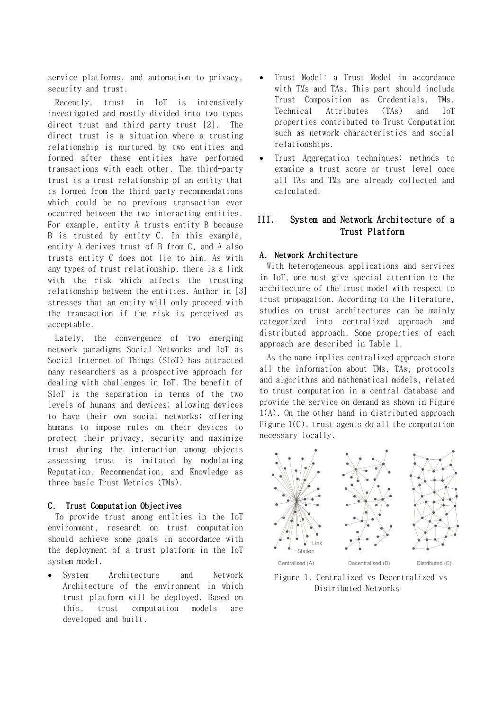service platforms, and automation to privacy, security and trust.

Recently, trust in IoT is intensively investigated and mostly divided into two types direct trust and third party trust [2]. The direct trust is a situation where a trusting relationship is nurtured by two entities and formed after these entities have performed transactions with each other. The third-party trust is a trust relationship of an entity that is formed from the third party recommendations which could be no previous transaction ever occurred between the two interacting entities. For example, entity A trusts entity B because B is trusted by entity C. In this example, entity A derives trust of B from C, and A also trusts entity C does not lie to him. As with any types of trust relationship, there is a link with the risk which affects the trusting relationship between the entities. Author in [3] stresses that an entity will only proceed with the transaction if the risk is perceived as acceptable.

Lately, the convergence of two emerging network paradigms Social Networks and IoT as Social Internet of Things (SIoT) has attracted many researchers as a prospective approach for dealing with challenges in IoT. The benefit of SIoT is the separation in terms of the two levels of humans and devices; allowing devices to have their own social networks; offering humans to impose rules on their devices to protect their privacy, security and maximize trust during the interaction among objects assessing trust is imitated by modulating Reputation, Recommendation, and Knowledge as three basic Trust Metrics (TMs).

#### C. Trust Computation Objectives

To provide trust among entities in the IoT environment, research on trust computation should achieve some goals in accordance with the deployment of a trust platform in the IoT system model.

 System Architecture and Network Architecture of the environment in which trust platform will be deployed. Based on this, trust computation models are developed and built.

- Trust Model: a Trust Model in accordance with TMs and TAs. This part should include Trust Composition as Credentials, TMs, Technical Attributes (TAs) and IoT properties contributed to Trust Computation such as network characteristics and social relationships.
- Trust Aggregation techniques: methods to examine a trust score or trust level once all TAs and TMs are already collected and calculated.

## III. System and Network Architecture of a Trust Platform

#### A. Network Architecture

With heterogeneous applications and services in IoT, one must give special attention to the architecture of the trust model with respect to trust propagation. According to the literature, studies on trust architectures can be mainly categorized into centralized approach and distributed approach. Some properties of each approach are described in [Table 1.](#page-4-0)

As the name implies centralized approach store all the information about TMs, TAs, protocols and algorithms and mathematical models, related to trust computation in a central database and provide the service on demand as shown in [Figure](#page-3-0)  [1\(](#page-3-0)A). On the other hand in distributed approach [Figure 1\(](#page-3-0)C), trust agents do all the computation necessary locally.



<span id="page-3-0"></span>Figure 1. Centralized vs Decentralized vs Distributed Networks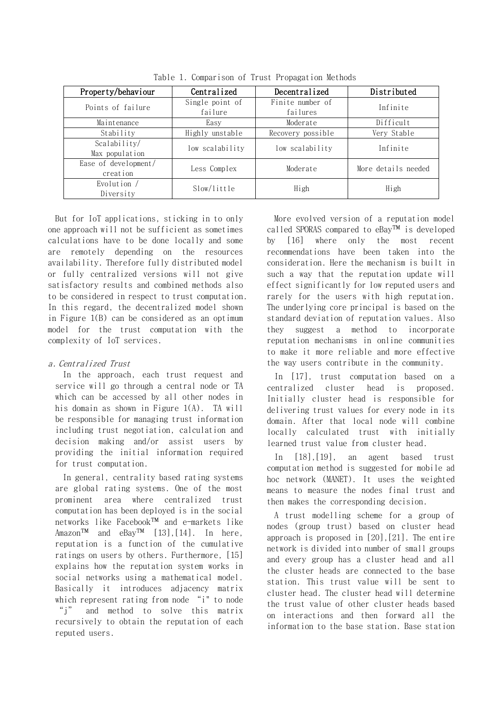<span id="page-4-0"></span>

| Property/behaviour               | Centralized<br>Decentralized |                              | Distributed         |
|----------------------------------|------------------------------|------------------------------|---------------------|
| Points of failure                | Single point of<br>failure   | Finite number of<br>failures | Infinite            |
| Maintenance                      | Easy                         | Moderate                     | Difficult           |
| Stability                        | Highly unstable              | Recovery possible            | Very Stable         |
| Scalability/<br>Max population   | low scalability              | low scalability              | Infinite            |
| Ease of development/<br>creation | Less Complex                 | Moderate                     | More details needed |
| Evolution /<br>Diversity         | Slow/little                  | High                         | High                |

Table 1. Comparison of Trust Propagation Methods

But for IoT applications, sticking in to only one approach will not be sufficient as sometimes calculations have to be done locally and some are remotely depending on the resources availability. Therefore fully distributed model or fully centralized versions will not give satisfactory results and combined methods also to be considered in respect to trust computation. In this regard, the decentralized model shown in [Figure 1\(](#page-3-0)B) can be considered as an optimum model for the trust computation with the complexity of IoT services.

#### a. Centralized Trust

In the approach, each trust request and service will go through a central node or TA which can be accessed by all other nodes in his domain as shown in [Figure 1\(](#page-3-0)A). TA will be responsible for managing trust information including trust negotiation, calculation and decision making and/or assist users by providing the initial information required for trust computation.

In general, centrality based rating systems are global rating systems. One of the most prominent area where centralized trust computation has been deployed is in the social networks like Facebook™ and e-markets like  $\text{Amazon}^{\text{TM}}$  and  $\text{eBay}^{\text{TM}}$  [13], [14]. In here, reputation is a function of the cumulative ratings on users by others. Furthermore, [15] explains how the reputation system works in social networks using a mathematical model. Basically it introduces adjacency matrix which represent rating from node "i" to node "j" and method to solve this matrix recursively to obtain the reputation of each reputed users.

More evolved version of a reputation model called SPORAS compared to eBay™ is developed by [16] where only the most recent recommendations have been taken into the consideration. Here the mechanism is built in such a way that the reputation update will effect significantly for low reputed users and rarely for the users with high reputation. The underlying core principal is based on the standard deviation of reputation values. Also they suggest a method to incorporate reputation mechanisms in online communities to make it more reliable and more effective the way users contribute in the community.

In [17], trust computation based on a centralized cluster head is proposed. Initially cluster head is responsible for delivering trust values for every node in its domain. After that local node will combine locally calculated trust with initially learned trust value from cluster head.

In [18],[19], an agent based trust computation method is suggested for mobile ad hoc network (MANET). It uses the weighted means to measure the nodes final trust and then makes the corresponding decision.

A trust modelling scheme for a group of nodes (group trust) based on cluster head approach is proposed in [20],[21]. The entire network is divided into number of small groups and every group has a cluster head and all the cluster heads are connected to the base station. This trust value will be sent to cluster head. The cluster head will determine the trust value of other cluster heads based on interactions and then forward all the information to the base station. Base station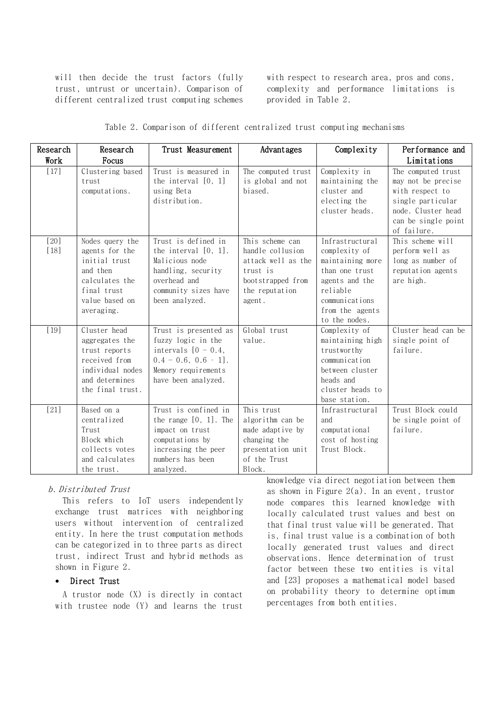will then decide the trust factors (fully trust, untrust or uncertain). Comparison of different centralized trust computing schemes

with respect to research area, pros and cons, complexity and performance limitations is provided in [Table 2.](#page-5-0)

|  |  |  |  | Table 2. Comparison of different centralized trust computing mechanisms |  |  |  |
|--|--|--|--|-------------------------------------------------------------------------|--|--|--|
|--|--|--|--|-------------------------------------------------------------------------|--|--|--|

<span id="page-5-0"></span>

| Research         | Research                                                                                                                        | Trust Measurement                                                                                                                                | Advantages                                                                                                             | Complexity                                                                                                                                                 | Performance and                                                                                                                              |
|------------------|---------------------------------------------------------------------------------------------------------------------------------|--------------------------------------------------------------------------------------------------------------------------------------------------|------------------------------------------------------------------------------------------------------------------------|------------------------------------------------------------------------------------------------------------------------------------------------------------|----------------------------------------------------------------------------------------------------------------------------------------------|
| Work             | Focus                                                                                                                           |                                                                                                                                                  |                                                                                                                        |                                                                                                                                                            | Limitations                                                                                                                                  |
| $[17]$           | Clustering based<br>trust<br>computations.                                                                                      | Trust is measured in<br>the interval $[0, 1]$<br>using Beta<br>distribution.                                                                     | The computed trust<br>is global and not<br>biased.                                                                     | Complexity in<br>maintaining the<br>cluster and<br>electing the<br>cluster heads.                                                                          | The computed trust<br>may not be precise<br>with respect to<br>single particular<br>node. Cluster head<br>can be single point<br>of failure. |
| $[20]$<br>$[18]$ | Nodes query the<br>agents for the<br>initial trust<br>and then<br>calculates the<br>final trust<br>value based on<br>averaging. | Trust is defined in<br>the interval $[0, 1]$ .<br>Malicious node<br>handling, security<br>overhead and<br>community sizes have<br>been analyzed. | This scheme can<br>handle collusion<br>attack well as the<br>trust is<br>bootstrapped from<br>the reputation<br>agent. | Infrastructural<br>complexity of<br>maintaining more<br>than one trust<br>agents and the<br>reliable<br>communications<br>from the agents<br>to the nodes. | This scheme will<br>perform well as<br>long as number of<br>reputation agents<br>are high.                                                   |
| $[19]$           | Cluster head<br>aggregates the<br>trust reports<br>received from<br>individual nodes<br>and determines<br>the final trust.      | Trust is presented as<br>fuzzy logic in the<br>intervals $[0 - 0.4,$<br>$0.4 - 0.6, 0.6 - 1$ ].<br>Memory requirements<br>have been analyzed.    | Global trust<br>value.                                                                                                 | Complexity of<br>maintaining high<br>trustworthy<br>communication<br>between cluster<br>heads and<br>cluster heads to<br>base station.                     | Cluster head can be<br>single point of<br>failure.                                                                                           |
| $[21]$           | Based on a<br>centralized<br>Trust<br>Block which<br>collects votes<br>and calculates<br>the trust.                             | Trust is confined in<br>the range $[0, 1]$ . The<br>impact on trust<br>computations by<br>increasing the peer<br>numbers has been<br>analyzed.   | This trust<br>algorithm can be<br>made adaptive by<br>changing the<br>presentation unit<br>of the Trust<br>Block.      | Infrastructural<br>and<br>computational<br>cost of hosting<br>Trust Block.                                                                                 | Trust Block could<br>be single point of<br>failure.                                                                                          |

#### b. Distributed Trust

This refers to IoT users independently exchange trust matrices with neighboring users without intervention of centralized entity. In here the trust computation methods can be categorized in to three parts as direct trust, indirect Trust and hybrid methods as shown in [Figure 2.](#page-6-0)

#### Direct Trust

A trustor node (X) is directly in contact with trustee node (Y) and learns the trust knowledge via direct negotiation between them as shown in Figure  $2(a)$ . In an event, trustor node compares this learned knowledge with locally calculated trust values and best on that final trust value will be generated. That is, final trust value is a combination of both locally generated trust values and direct observations. Hence determination of trust factor between these two entities is vital and [23] proposes a mathematical model based on probability theory to determine optimum percentages from both entities.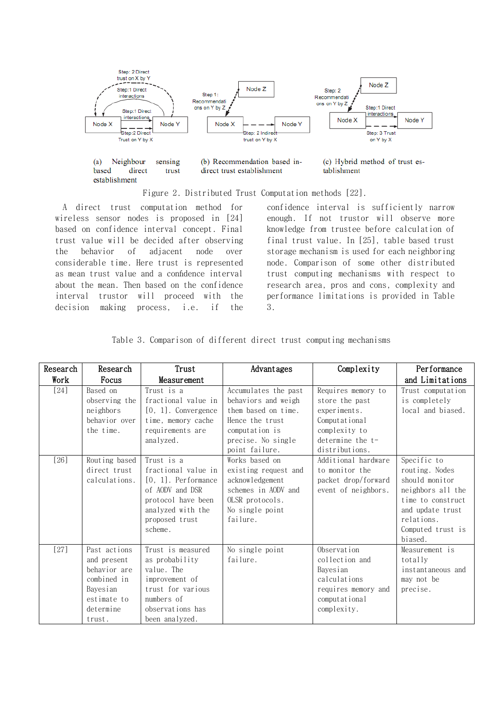

Figure 2. Distributed Trust Computation methods [22].

<span id="page-6-0"></span>A direct trust computation method for wireless sensor nodes is proposed in [24] based on confidence interval concept. Final trust value will be decided after observing the behavior of adjacent node over considerable time. Here trust is represented as mean trust value and a confidence interval about the mean. Then based on the confidence interval trustor will proceed with the decision making process, i.e. if the confidence interval is sufficiently narrow enough. If not trustor will observe more knowledge from trustee before calculation of final trust value. In [25], table based trust storage mechanism is used for each neighboring node. Comparison of some other distributed trust computing mechanisms with respect to research area, pros and cons, complexity and performance limitations is provided in [Table](#page-6-1)  [3.](#page-6-1)

<span id="page-6-1"></span>

| Research | Research                                                                                                     | Trust                                                                                                                                                  | Advantages                                                                                                                                      | Complexity                                                                                                                     | Performance                                                                                                                                                 |
|----------|--------------------------------------------------------------------------------------------------------------|--------------------------------------------------------------------------------------------------------------------------------------------------------|-------------------------------------------------------------------------------------------------------------------------------------------------|--------------------------------------------------------------------------------------------------------------------------------|-------------------------------------------------------------------------------------------------------------------------------------------------------------|
| Work     | Focus                                                                                                        | Measurement                                                                                                                                            |                                                                                                                                                 |                                                                                                                                | and Limitations                                                                                                                                             |
| $[24]$   | Based on<br>observing the<br>neighbors<br>behavior over<br>the time.                                         | Trust is a<br>fractional value in<br>$[0, 1]$ . Convergence<br>time, memory cache<br>requirements are<br>analyzed.                                     | Accumulates the past<br>behaviors and weigh<br>them based on time.<br>Hence the trust<br>computation is<br>precise. No single<br>point failure. | Requires memory to<br>store the past<br>experiments.<br>Computational<br>complexity to<br>$determine the t-$<br>distributions. | Trust computation<br>is completely<br>local and biased.                                                                                                     |
| $[26]$   | Routing based<br>direct trust<br>calculations.                                                               | Trust is a<br>fractional value in<br>$[0, 1]$ . Performance<br>of AODV and DSR<br>protocol have been<br>analyzed with the<br>proposed trust<br>scheme. | Works based on<br>existing request and<br>acknowledgement<br>schemes in AODV and<br>OLSR protocols.<br>No single point<br>failure.              | Additional hardware<br>to monitor the<br>packet drop/forward<br>event of neighbors.                                            | Specific to<br>routing. Nodes<br>should monitor<br>neighbors all the<br>time to construct<br>and update trust<br>relations.<br>Computed trust is<br>biased. |
| $[27]$   | Past actions<br>and present<br>behavior are<br>combined in<br>Bayesian<br>estimate to<br>determine<br>trust. | Trust is measured<br>as probability<br>value. The<br>improvement of<br>trust for various<br>numbers of<br>observations has<br>been analyzed.           | No single point<br>failure.                                                                                                                     | Observation<br>collection and<br>Bayesian<br>calculations<br>requires memory and<br>computational<br>complexity.               | Measurement is<br>totally<br>instantaneous and<br>may not be<br>precise.                                                                                    |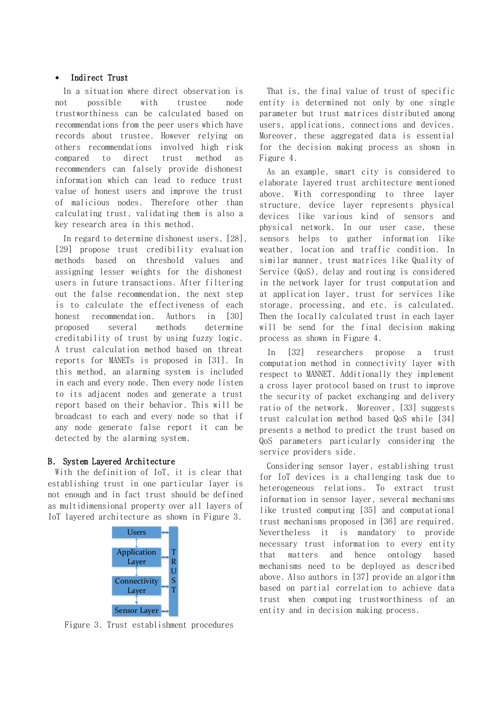#### Indirect Trust

In a situation where direct observation is not possible with trustee node trustworthiness can be calculated based on recommendations from the peer users which have records about trustee. However relying on others recommendations involved high risk compared to direct trust method as recommenders can falsely provide dishonest information which can lead to reduce trust value of honest users and improve the trust of malicious nodes. Therefore other than calculating trust, validating them is also a key research area in this method.

In regard to determine dishonest users, [28], [29] propose trust credibility evaluation methods based on threshold values and assigning lesser weights for the dishonest users in future transactions. After filtering out the false recommendation, the next step is to calculate the effectiveness of each honest recommendation. Authors in [30] proposed several methods determine creditability of trust by using fuzzy logic. A trust calculation method based on threat reports for MANETs is proposed in [31]. In this method, an alarming system is included in each and every node. Then every node listen to its adjacent nodes and generate a trust report based on their behavior. This will be broadcast to each and every node so that if any node generate false report it can be detected by the alarming system.

## B. System Layered Architecture

With the definition of IoT, it is clear that establishing trust in one particular layer is not enough and in fact trust should be defined as multidimensional property over all layers of IoT layered architecture as shown in [Figure 3.](#page-7-0)



<span id="page-7-0"></span>Figure 3. Trust establishment procedures

That is, the final value of trust of specific entity is determined not only by one single parameter but trust matrices distributed among users, applications, connections and devices. Moreover, these aggregated data is essential for the decision making process as shown in [Figure 4.](#page-8-0)

As an example, smart city is considered to elaborate layered trust architecture mentioned above. With corresponding to three layer structure, device layer represents physical devices like various kind of sensors and physical network. In our user case, these sensors helps to gather information like weather, location and traffic condition. In similar manner, trust matrices like Quality of Service (QoS), delay and routing is considered in the network layer for trust computation and at application layer, trust for services like storage, processing, and etc. is calculated. Then the locally calculated trust in each layer will be send for the final decision making process as shown in [Figure 4.](#page-8-0)

In [32] researchers propose a trust computation method in connectivity layer with respect to MANNET. Additionally they implement a cross layer protocol based on trust to improve the security of packet exchanging and delivery ratio of the network. Moreover, [33] suggests trust calculation method based QoS while [34] presents a method to predict the trust based on QoS parameters particularly considering the service providers side.

Considering sensor layer, establishing trust for IoT devices is a challenging task due to heterogeneous relations. To extract trust information in sensor layer, several mechanisms like trusted computing [35] and computational trust mechanisms proposed in [36] are required. Nevertheless it is mandatory to provide necessary trust information to every entity that matters and hence ontology based mechanisms need to be deployed as described above. Also authors in [37] provide an algorithm based on partial correlation to achieve data trust when computing trustworthiness of an entity and in decision making process.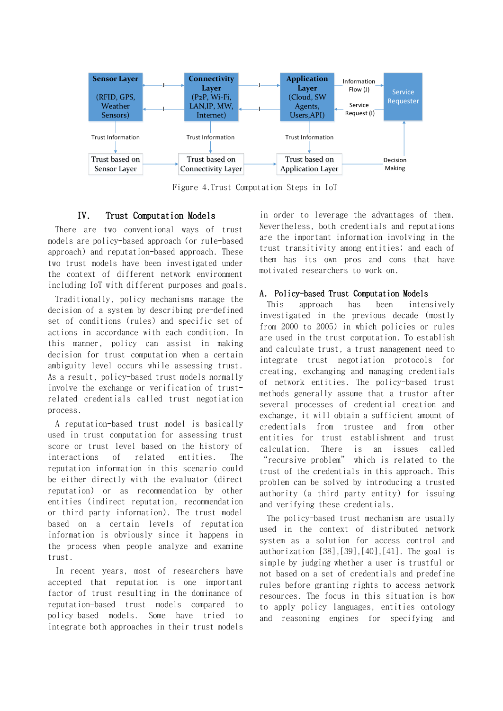

Figure 4.Trust Computation Steps in IoT

## <span id="page-8-0"></span>IV. Trust Computation Models

There are two conventional ways of trust models are policy-based approach (or rule-based approach) and reputation-based approach. These two trust models have been investigated under the context of different network environment including IoT with different purposes and goals.

Traditionally, policy mechanisms manage the decision of a system by describing pre-defined set of conditions (rules) and specific set of actions in accordance with each condition. In this manner, policy can assist in making decision for trust computation when a certain ambiguity level occurs while assessing trust. As a result, policy-based trust models normally involve the exchange or verification of trustrelated credentials called trust negotiation process.

A reputation-based trust model is basically used in trust computation for assessing trust score or trust level based on the history of interactions of related entities. The reputation information in this scenario could be either directly with the evaluator (direct reputation) or as recommendation by other entities (indirect reputation, recommendation or third party information). The trust model based on a certain levels of reputation information is obviously since it happens in the process when people analyze and examine trust.

In recent years, most of researchers have accepted that reputation is one important factor of trust resulting in the dominance of reputation-based trust models compared to policy-based models. Some have tried to integrate both approaches in their trust models

in order to leverage the advantages of them. Nevertheless, both credentials and reputations are the important information involving in the trust transitivity among entities; and each of them has its own pros and cons that have motivated researchers to work on.

#### A. Policy-based Trust Computation Models

This approach has been intensively investigated in the previous decade (mostly from 2000 to 2005) in which policies or rules are used in the trust computation. To establish and calculate trust, a trust management need to integrate trust negotiation protocols for creating, exchanging and managing credentials of network entities. The policy-based trust methods generally assume that a trustor after several processes of credential creation and exchange, it will obtain a sufficient amount of credentials from trustee and from other entities for trust establishment and trust calculation. There is an issues called "recursive problem" which is related to the trust of the credentials in this approach. This problem can be solved by introducing a trusted authority (a third party entity) for issuing and verifying these credentials.

The policy-based trust mechanism are usually used in the context of distributed network system as a solution for access control and authorization [38],[39],[40],[41]. The goal is simple by judging whether a user is trustful or not based on a set of credentials and predefine rules before granting rights to access network resources. The focus in this situation is how to apply policy languages, entities ontology and reasoning engines for specifying and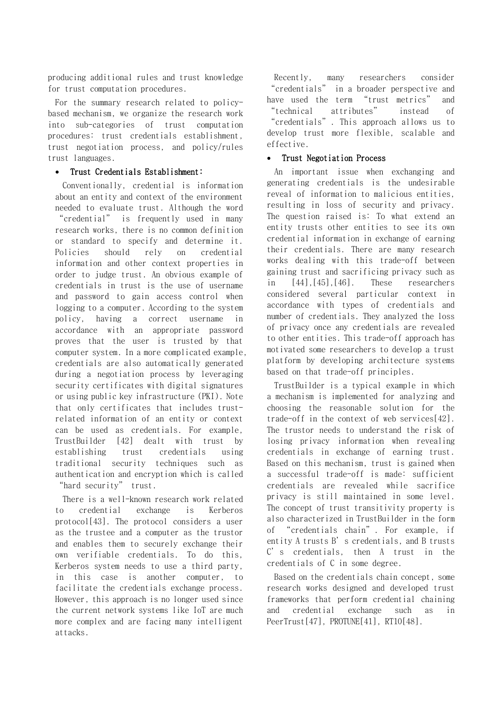producing additional rules and trust knowledge for trust computation procedures.

For the summary research related to policybased mechanism, we organize the research work into sub-categories of trust computation procedures: trust credentials establishment, trust negotiation process, and policy/rules trust languages.

#### Trust Credentials Establishment:

Conventionally, credential is information about an entity and context of the environment needed to evaluate trust. Although the word "credential" is frequently used in many research works, there is no common definition or standard to specify and determine it. Policies should rely on credential information and other context properties in order to judge trust. An obvious example of credentials in trust is the use of username and password to gain access control when logging to a computer. According to the system policy, having a correct username in accordance with an appropriate password proves that the user is trusted by that computer system. In a more complicated example, credentials are also automatically generated during a negotiation process by leveraging security certificates with digital signatures or using public key infrastructure (PKI). Note that only certificates that includes trustrelated information of an entity or context can be used as credentials. For example, TrustBuilder [42] dealt with trust by establishing trust credentials using traditional security techniques such as authentication and encryption which is called "hard security" trust.

There is a well-known research work related to credential exchange is Kerberos protocol[43]. The protocol considers a user as the trustee and a computer as the trustor and enables them to securely exchange their own verifiable credentials. To do this, Kerberos system needs to use a third party, in this case is another computer, to facilitate the credentials exchange process. However, this approach is no longer used since the current network systems like IoT are much more complex and are facing many intelligent attacks.

Recently, many researchers consider "credentials" in a broader perspective and have used the term "trust metrics" and "technical attributes" instead of "credentials". This approach allows us to develop trust more flexible, scalable and effective.

#### Trust Negotiation Process

An important issue when exchanging and generating credentials is the undesirable reveal of information to malicious entities, resulting in loss of security and privacy. The question raised is: To what extend an entity trusts other entities to see its own credential information in exchange of earning their credentials. There are many research works dealing with this trade-off between gaining trust and sacrificing privacy such as in [44],[45],[46]. These researchers considered several particular context in accordance with types of credentials and number of credentials. They analyzed the loss of privacy once any credentials are revealed to other entities. This trade-off approach has motivated some researchers to develop a trust platform by developing architecture systems based on that trade-off principles.

TrustBuilder is a typical example in which a mechanism is implemented for analyzing and choosing the reasonable solution for the trade-off in the context of web services[42]. The trustor needs to understand the risk of losing privacy information when revealing credentials in exchange of earning trust. Based on this mechanism, trust is gained when a successful trade-off is made: sufficient credentials are revealed while sacrifice privacy is still maintained in some level. The concept of trust transitivity property is also characterized in TrustBuilder in the form of "credentials chain". For example, if entity A trusts B's credentials, and B trusts C's credentials, then A trust in the credentials of C in some degree.

Based on the credentials chain concept, some research works designed and developed trust frameworks that perform credential chaining and credential exchange such as in PeerTrust[47], PROTUNE[41], RT10[48].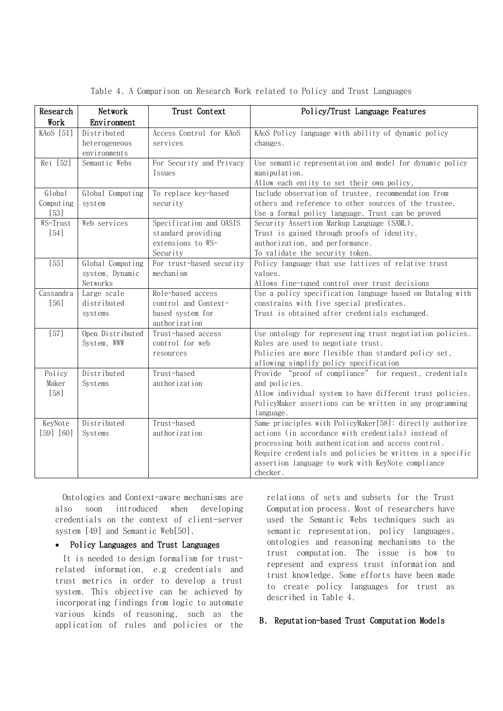<span id="page-10-0"></span>

| Research   | Network          | Trust Context            | Policy/Trust Language Features                            |
|------------|------------------|--------------------------|-----------------------------------------------------------|
| Work       | Environment      |                          |                                                           |
| KAoS [51]  | Distributed      | Access Control for KAoS  | KAoS Policy language with ability of dynamic policy       |
|            | heterogeneous    | services                 | changes.                                                  |
|            | environments     |                          |                                                           |
| Rei [52]   | Semantic Webs    | For Security and Privacy | Use semantic representation and model for dynamic policy  |
|            |                  | Issues                   | manipulation.                                             |
|            |                  |                          | Allow each entity to set their own policy,                |
| Global     | Global Computing | To replace key-based     | Include observation of trustee, recommendation from       |
| Comput ing | system           | security                 | others and reference to other sources of the trustee.     |
| $[53]$     |                  |                          | Use a formal policy language. Trust can be proved         |
| WS-Trust   | Web services     | Specification and OASIS  | Security Assertion Markup Language (SAML).                |
| [54]       |                  | standard providing       | Trust is gained through proofs of identity,               |
|            |                  | extensions to WS-        | authorization, and performance.                           |
|            |                  | Security                 | To validate the security token.                           |
| $[55]$     | Global Computing | For trust-based security | Policy language that use lattices of relative trust       |
|            | system, Dynamic  | mechanism                | values.                                                   |
|            | Networks         |                          | Allows fine-tuned control over trust decisions            |
| Cassandra  | Large scale      | Role-based access        | Use a policy specification language based on Datalog with |
| [56]       | distributed      | control and Context-     | constrains with five special predicates.                  |
|            | systems          | based system for         | Trust is obtained after credentials exchanged.            |
|            |                  | authorization            |                                                           |
| $[57]$     | Open Distributed | Trust-based access       | Use ontology for representing trust negotiation policies. |
|            | System, WWW      | control for web          | Rules are used to negotiate trust.                        |
|            |                  | resources                | Policies are more flexible than standard policy set,      |
|            |                  |                          | allowing simplify policy specification                    |
| Policy     | Distributed      | Trust-based              | Provide "proof of compliance" for request, credentials    |
| Maker      | Systems          | authorization            | and policies.                                             |
| [58]       |                  |                          | Allow individual system to have different trust policies. |
|            |                  |                          | PolicyMaker assertions can be written in any programming  |
|            |                  |                          | language.                                                 |
| KeyNote    | Distributed      | Trust-based              | Same principles with PolicyMaker[58]: directly authorize  |
| [59] [60]  | Systems          | authorization            | actions (in accordance with credentials) instead of       |
|            |                  |                          | processing both authentication and access control.        |
|            |                  |                          | Require credentials and policies be written in a specific |
|            |                  |                          | assertion language to work with KeyNote compliance        |
|            |                  |                          | checker.                                                  |

Table 4. A Comparison on Research Work related to Policy and Trust Languages

Ontologies and Context-aware mechanisms are also soon introduced when developing credentials on the context of client-server system [49] and Semantic Web[50].

#### • Policy Languages and Trust Languages

It is needed to design formalism for trustrelated information, e.g credentials and trust metrics in order to develop a trust system. This objective can be achieved by incorporating findings from [logic](https://en.wikipedia.org/wiki/Logic) to automate various kinds of reasoning, such as the application of rules and policies or the relations of [sets](https://en.wikipedia.org/wiki/Set_theory) and [subsets](https://en.wikipedia.org/wiki/Subset) for the Trust Computation process. Most of researchers have used the Semantic Webs techniques such as semantic representation, policy languages, ontologies and reasoning mechanisms to the trust computation. The issue is how to represent and express trust information and trust knowledge. Some efforts have been made to create policy languages for trust as described in [Table 4.](#page-10-0)

### B. Reputation-based Trust Computation Models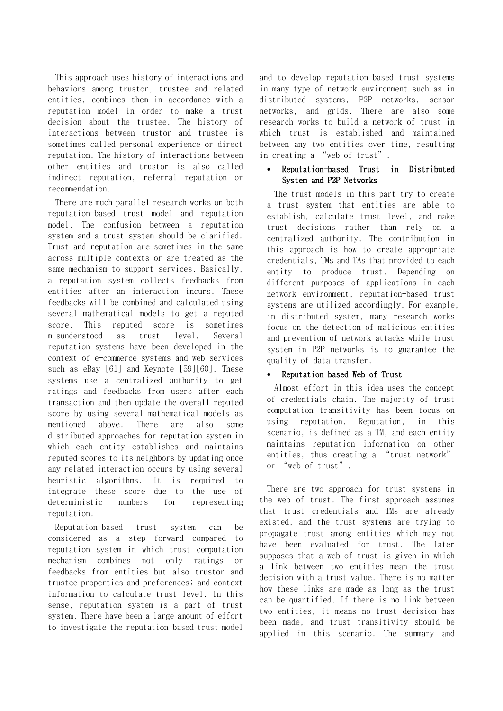This approach uses history of interactions and behaviors among trustor, trustee and related entities, combines them in accordance with a reputation model in order to make a trust decision about the trustee. The history of interactions between trustor and trustee is sometimes called personal experience or direct reputation. The history of interactions between other entities and trustor is also called indirect reputation, referral reputation or recommendation.

There are much parallel research works on both reputation-based trust model and reputation model. The confusion between a reputation system and a trust system should be clarified. Trust and reputation are sometimes in the same across multiple contexts or are treated as the same mechanism to support services. Basically, a reputation system collects feedbacks from entities after an interaction incurs. These feedbacks will be combined and calculated using several mathematical models to get a reputed score. This reputed score is sometimes misunderstood as trust level. Several reputation systems have been developed in the context of e-commerce systems and web services such as eBay [61] and Keynote [59][60]. These systems use a centralized authority to get ratings and feedbacks from users after each transaction and then update the overall reputed score by using several mathematical models as mentioned above. There are also some distributed approaches for reputation system in which each entity establishes and maintains reputed scores to its neighbors by updating once any related interaction occurs by using several heuristic algorithms. It is required to integrate these score due to the use of deterministic numbers for representing reputation.

Reputation-based trust system can be considered as a step forward compared to reputation system in which trust computation mechanism combines not only ratings or feedbacks from entities but also trustor and trustee properties and preferences; and context information to calculate trust level. In this sense, reputation system is a part of trust system. There have been a large amount of effort to investigate the reputation-based trust model and to develop reputation-based trust systems in many type of network environment such as in distributed systems, P2P networks, sensor networks, and grids. There are also some research works to build a network of trust in which trust is established and maintained between any two entities over time, resulting in creating a "web of trust".

#### Reputation-based Trust in Distributed System and P2P Networks

The trust models in this part try to create a trust system that entities are able to establish, calculate trust level, and make trust decisions rather than rely on a centralized authority. The contribution in this approach is how to create appropriate credentials, TMs and TAs that provided to each entity to produce trust. Depending on different purposes of applications in each network environment, reputation-based trust systems are utilized accordingly. For example, in distributed system, many research works focus on the detection of malicious entities and prevention of network attacks while trust system in P2P networks is to guarantee the quality of data transfer.

#### Reputation-based Web of Trust

Almost effort in this idea uses the concept of credentials chain. The majority of trust computation transitivity has been focus on using reputation. Reputation, in this scenario, is defined as a TM, and each entity maintains reputation information on other entities, thus creating a "trust network" or "web of trust".

There are two approach for trust systems in the web of trust. The first approach assumes that trust credentials and TMs are already existed, and the trust systems are trying to propagate trust among entities which may not have been evaluated for trust. The later supposes that a web of trust is given in which a link between two entities mean the trust decision with a trust value. There is no matter how these links are made as long as the trust can be quantified. If there is no link between two entities, it means no trust decision has been made, and trust transitivity should be applied in this scenario. The summary and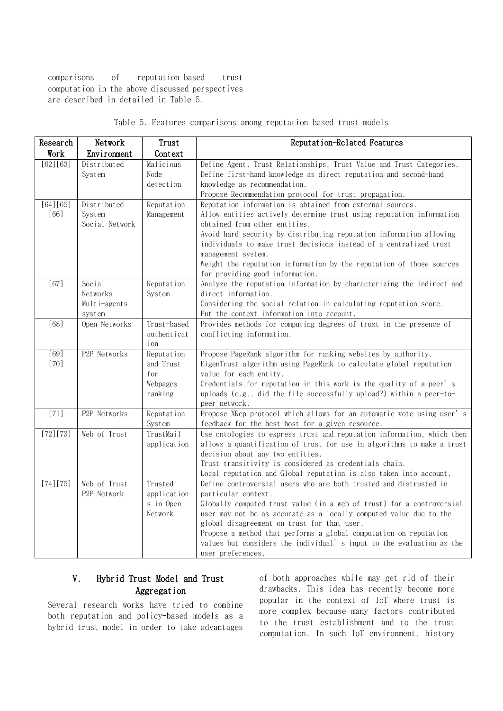comparisons of reputation-based trust computation in the above discussed perspectives are described in detailed in [Table 5.](#page-12-0)

<span id="page-12-0"></span>

| Research    | Network        | Trust               | Reputation-Related Features                                                                                                                      |
|-------------|----------------|---------------------|--------------------------------------------------------------------------------------------------------------------------------------------------|
| Work        | Environment    | Context             |                                                                                                                                                  |
| [62] [63]   | Distributed    | Malicious           | Define Agent, Trust Relationships, Trust Value and Trust Categories.                                                                             |
|             | System         | Node                | Define first-hand knowledge as direct reputation and second-hand                                                                                 |
|             |                | detection           | knowledge as recommendation.                                                                                                                     |
|             |                |                     | Propose Recommendation protocol for trust propagation.                                                                                           |
| [64] [65]   | Distributed    | Reputation          | Reputation information is obtained from external sources.                                                                                        |
| [66]        | System         | Management          | Allow entities actively determine trust using reputation information                                                                             |
|             | Social Network |                     | obtained from other entities.                                                                                                                    |
|             |                |                     | Avoid hard security by distributing reputation information allowing<br>individuals to make trust decisions instead of a centralized trust        |
|             |                |                     | management system.                                                                                                                               |
|             |                |                     | Weight the reputation information by the reputation of those sources                                                                             |
|             |                |                     | for providing good information.                                                                                                                  |
| [67]        | Social         | Reputation          | Analyze the reputation information by characterizing the indirect and                                                                            |
|             | Networks       | System              | direct information.                                                                                                                              |
|             | Multi-agents   |                     | Considering the social relation in calculating reputation score.                                                                                 |
|             | system         |                     | Put the context information into account.                                                                                                        |
| [68]        | Open Networks  | Trust-based         | Provides methods for computing degrees of trust in the presence of                                                                               |
|             |                | authent i cat       | conflicting information.                                                                                                                         |
|             |                | ion                 |                                                                                                                                                  |
| [69]        | P2P Networks   | Reputation          | Propose PageRank algorithm for ranking websites by authority.                                                                                    |
| [70]        |                | and Trust           | EigenTrust algorithm using PageRank to calculate global reputation                                                                               |
|             |                | for                 | value for each entity.                                                                                                                           |
|             |                | Webpages            | Credentials for reputation in this work is the quality of a peer's                                                                               |
|             |                | ranking             | uploads (e.g., did the file successfully upload?) within a peer-to-                                                                              |
|             |                |                     | peer network.                                                                                                                                    |
| $[71]$      | P2P Networks   | Reputation          | Propose XRep protocol which allows for an automatic vote using user's                                                                            |
|             | Web of Trust   | System<br>TrustMail | feedback for the best host for a given resource.                                                                                                 |
| [72] [73]   |                | application         | Use ontologies to express trust and reputation information, which then<br>allows a quantification of trust for use in algorithms to make a trust |
|             |                |                     | decision about any two entities.                                                                                                                 |
|             |                |                     | Trust transitivity is considered as credentials chain.                                                                                           |
|             |                |                     | Local reputation and Global reputation is also taken into account.                                                                               |
| $[74] [75]$ | Web of Trust   | Trusted             | Define controversial users who are both trusted and distrusted in                                                                                |
|             | P2P Network    | application         | particular context.                                                                                                                              |
|             |                | s in Open           | Globally computed trust value (in a web of trust) for a controversial                                                                            |
|             |                | Network             | user may not be as accurate as a locally computed value due to the                                                                               |
|             |                |                     | global disagreement on trust for that user.                                                                                                      |
|             |                |                     | Propose a method that performs a global computation on reputation                                                                                |
|             |                |                     | values but considers the individual's input to the evaluation as the                                                                             |
|             |                |                     | user preferences.                                                                                                                                |

Table 5. Features comparisons among reputation-based trust models

## V. Hybrid Trust Model and Trust Aggregation

Several research works have tried to combine both reputation and policy-based models as a hybrid trust model in order to take advantages of both approaches while may get rid of their drawbacks. This idea has recently become more popular in the context of IoT where trust is more complex because many factors contributed to the trust establishment and to the trust computation. In such IoT environment, history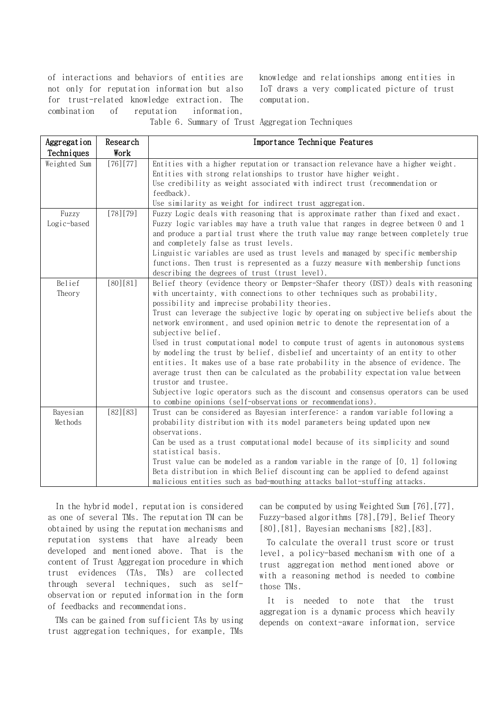of interactions and behaviors of entities are not only for reputation information but also for trust-related knowledge extraction. The combination of reputation information,

knowledge and relationships among entities in IoT draws a very complicated picture of trust computation.

Table 6. Summary of Trust Aggregation Techniques

<span id="page-13-0"></span>

| Aggregation  | Research    | Importance Technique Features                                                        |
|--------------|-------------|--------------------------------------------------------------------------------------|
| Techniques   | Work        |                                                                                      |
| Weighted Sum | $[76] [77]$ | Entities with a higher reputation or transaction relevance have a higher weight.     |
|              |             | Entities with strong relationships to trustor have higher weight.                    |
|              |             | Use credibility as weight associated with indirect trust (recommendation or          |
|              |             | feedback).                                                                           |
|              |             | Use similarity as weight for indirect trust aggregation.                             |
| Fuzzy        | $[78] [79]$ | Fuzzy Logic deals with reasoning that is approximate rather than fixed and exact.    |
| Logic-based  |             | Fuzzy logic variables may have a truth value that ranges in degree between 0 and 1   |
|              |             | and produce a partial trust where the truth value may range between completely true  |
|              |             | and completely false as trust levels.                                                |
|              |             | Linguistic variables are used as trust levels and managed by specific membership     |
|              |             | functions. Then trust is represented as a fuzzy measure with membership functions    |
|              |             | describing the degrees of trust (trust level).                                       |
| Belief       | [80][81]    | Belief theory (evidence theory or Dempster-Shafer theory (DST)) deals with reasoning |
| Theory       |             | with uncertainty, with connections to other techniques such as probability,          |
|              |             | possibility and imprecise probability theories.                                      |
|              |             | Trust can leverage the subjective logic by operating on subjective beliefs about the |
|              |             | network environment, and used opinion metric to denote the representation of a       |
|              |             | subjective belief.                                                                   |
|              |             | Used in trust computational model to compute trust of agents in autonomous systems   |
|              |             | by modeling the trust by belief, disbelief and uncertainty of an entity to other     |
|              |             | entities. It makes use of a base rate probability in the absence of evidence. The    |
|              |             | average trust then can be calculated as the probability expectation value between    |
|              |             | trustor and trustee.                                                                 |
|              |             | Subjective logic operators such as the discount and consensus operators can be used  |
|              |             | to combine opinions (self-observations or recommendations).                          |
| Bayesian     | [82][83]    | Trust can be considered as Bayesian interference: a random variable following a      |
| Methods      |             | probability distribution with its model parameters being updated upon new            |
|              |             | observations.                                                                        |
|              |             | Can be used as a trust computational model because of its simplicity and sound       |
|              |             | statistical basis.                                                                   |
|              |             | Trust value can be modeled as a random variable in the range of $[0, 1]$ following   |
|              |             | Beta distribution in which Belief discounting can be applied to defend against       |
|              |             | malicious entities such as bad-mouthing attacks ballot-stuffing attacks.             |

In the hybrid model, reputation is considered as one of several TMs. The reputation TM can be obtained by using the reputation mechanisms and reputation systems that have already been developed and mentioned above. That is the content of Trust Aggregation procedure in which trust evidences (TAs, TMs) are collected through several techniques, such as selfobservation or reputed information in the form of feedbacks and recommendations.

TMs can be gained from sufficient TAs by using trust aggregation techniques, for example, TMs

can be computed by using Weighted Sum [76],[77], Fuzzy-based algorithms [78],[79], Belief Theory [80],[81], Bayesian mechanisms [82],[83].

To calculate the overall trust score or trust level, a policy-based mechanism with one of a trust aggregation method mentioned above or with a reasoning method is needed to combine those TMs.

It is needed to note that the trust aggregation is a dynamic process which heavily depends on context-aware information, service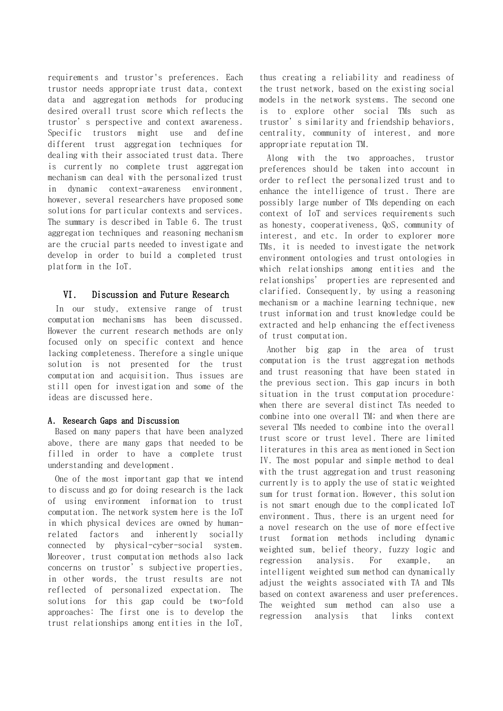requirements and trustor's preferences. Each trustor needs appropriate trust data, context data and aggregation methods for producing desired overall trust score which reflects the trustor's perspective and context awareness. Specific trustors might use and define different trust aggregation techniques for dealing with their associated trust data. There is currently no complete trust aggregation mechanism can deal with the personalized trust in dynamic context-awareness environment, however, several researchers have proposed some solutions for particular contexts and services. The summary is described in [Table 6.](#page-13-0) The trust aggregation techniques and reasoning mechanism are the crucial parts needed to investigate and develop in order to build a completed trust platform in the IoT.

#### VI. Discussion and Future Research

In our study, extensive range of trust computation mechanisms has been discussed. However the current research methods are only focused only on specific context and hence lacking completeness. Therefore a single unique solution is not presented for the trust computation and acquisition. Thus issues are still open for investigation and some of the ideas are discussed here.

#### A. Research Gaps and Discussion

Based on many papers that have been analyzed above, there are many gaps that needed to be filled in order to have a complete trust understanding and development.

One of the most important gap that we intend to discuss and go for doing research is the lack of using environment information to trust computation. The network system here is the IoT in which physical devices are owned by humanrelated factors and inherently socially connected by physical-cyber-social system. Moreover, trust computation methods also lack concerns on trustor's subjective properties, in other words, the trust results are not reflected of personalized expectation. The solutions for this gap could be two-fold approaches: The first one is to develop the trust relationships among entities in the IoT,

thus creating a reliability and readiness of the trust network, based on the existing social models in the network systems. The second one is to explore other social TMs such as trustor's similarity and friendship behaviors, centrality, community of interest, and more appropriate reputation TM.

Along with the two approaches, trustor preferences should be taken into account in order to reflect the personalized trust and to enhance the intelligence of trust. There are possibly large number of TMs depending on each context of IoT and services requirements such as honesty, cooperativeness, QoS, community of interest, and etc. In order to explorer more TMs, it is needed to investigate the network environment ontologies and trust ontologies in which relationships among entities and the relationships' properties are represented and clarified. Consequently, by using a reasoning mechanism or a machine learning technique, new trust information and trust knowledge could be extracted and help enhancing the effectiveness of trust computation.

Another big gap in the area of trust computation is the trust aggregation methods and trust reasoning that have been stated in the previous section. This gap incurs in both situation in the trust computation procedure: when there are several distinct TAs needed to combine into one overall TM; and when there are several TMs needed to combine into the overall trust score or trust level. There are limited literatures in this area as mentioned in Section IV. The most popular and simple method to deal with the trust aggregation and trust reasoning currently is to apply the use of static weighted sum for trust formation. However, this solution is not smart enough due to the complicated IoT environment. Thus, there is an urgent need for a novel research on the use of more effective trust formation methods including dynamic weighted sum, belief theory, fuzzy logic and regression analysis. For example, an intelligent weighted sum method can dynamically adjust the weights associated with TA and TMs based on context awareness and user preferences. The weighted sum method can also use a regression analysis that links context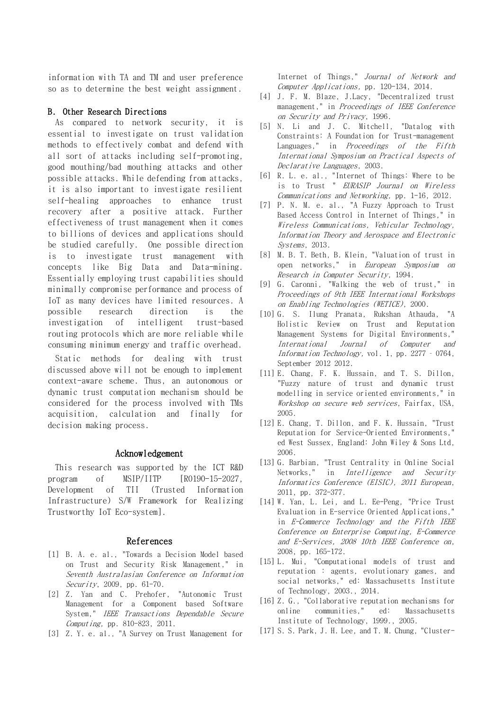information with TA and TM and user preference so as to determine the best weight assignment.

#### B. Other Research Directions

As compared to network security, it is essential to investigate on trust validation methods to effectively combat and defend with all sort of attacks including self-promoting, good mouthing/bad mouthing attacks and other possible attacks. While defending from attacks, it is also important to investigate resilient self-healing approaches to enhance trust recovery after a positive attack. Further effectiveness of trust management when it comes to billions of devices and applications should be studied carefully. One possible direction is to investigate trust management with concepts like Big Data and Data-mining. Essentially employing trust capabilities should minimally compromise performance and process of IoT as many devices have limited resources. A possible research direction is the investigation of intelligent trust-based routing protocols which are more reliable while consuming minimum energy and traffic overhead.

Static methods for dealing with trust discussed above will not be enough to implement context-aware scheme. Thus, an autonomous or dynamic trust computation mechanism should be considered for the process involved with TMs acquisition, calculation and finally for decision making process.

#### Acknowledgement

This research was supported by the ICT R&D program of MSIP/IITP [R0190-15-2027, Development of TII (Trusted Information Infrastructure) S/W Framework for Realizing Trustworthy IoT Eco-system].

#### References

- [1] B. A. e. al., "Towards a Decision Model based on Trust and Security Risk Management," in Seventh Australasian Conference on Information Security, 2009, pp. 61-70.
- [2] Z. Yan and C. Prehofer, "Autonomic Trust Management for a Component based Software System," IEEE Transactions Dependable Secure Computing, pp. 810-823, 2011.
- [3] Z. Y. e. al., "A Survey on Trust Management for

Internet of Things," Journal of Network and Computer Applications, pp. 120-134, 2014.

- [4] J. F. M. Blaze, J.Lacy, "Decentralized trust management," in Proceedings of IEEE Conference on Security and Privacy, 1996.
- [5] N. Li and J. C. Mitchell, "Datalog with Constraints: A Foundation for Trust-management Languages," in Proceedings of the Fifth International Symposium on Practical Aspects of Declarative Languages, 2003.
- [6] R. L. e. al., "Internet of Things: Where to be is to Trust " EURASIP Journal on Wireless Communications and Networking, pp. 1-16, 2012.
- [7] P. N. M. e. al., "A Fuzzy Approach to Trust Based Access Control in Internet of Things," in Wireless Communications, Vehicular Technology, Information Theory and Aerospace and Electronic Systems, 2013.
- [8] M. B. T. Beth, B. Klein, "Valuation of trust in open networks," in European Symposium on Research in Computer Security, 1994.
- [9] G. Caronni, "Walking the web of trust," in Proceedings of 9th IEEE International Workshops on Enabling Technologies (WETICE), 2000.
- [10] G. S. Ilung Pranata, Rukshan Athauda, "A Holistic Review on Trust and Reputation Management Systems for Digital Environments," International Journal of Computer and Information Technology, vol. 1, pp. 2277 – 0764, September 2012 2012.
- [11] E. Chang, F. K. Hussain, and T. S. Dillon, "Fuzzy nature of trust and dynamic trust modelling in service oriented environments," in Workshop on secure web services, Fairfax, USA, 2005.
- [12] E. Chang, T. Dillon, and F. K. Hussain, "Trust Reputation for Service-Oriented Environments," ed West Sussex, England: John Wiley & Sons Ltd, 2006.
- [13] G. Barbian, "Trust Centrality in Online Social Networks," in Intelligence and Security Informatics Conference (EISIC), 2011 European, 2011, pp. 372-377.
- [14] W. Yan, L. Lei, and L. Ee-Peng, "Price Trust Evaluation in E-service Oriented Applications," in E-Commerce Technology and the Fifth IEEE Conference on Enterprise Computing, E-Commerce and E-Services, 2008 10th IEEE Conference on, 2008, pp. 165-172.
- [15] L. Mui, "Computational models of trust and reputation : agents, evolutionary games, and social networks," ed: Massachusetts Institute of Technology, 2003., 2014.
- [16] Z. G., "Collaborative reputation mechanisms for online communities," ed: Massachusetts Institute of Technology, 1999., 2005.
- [17] S. S. Park, J. H. Lee, and T. M. Chung, "Cluster-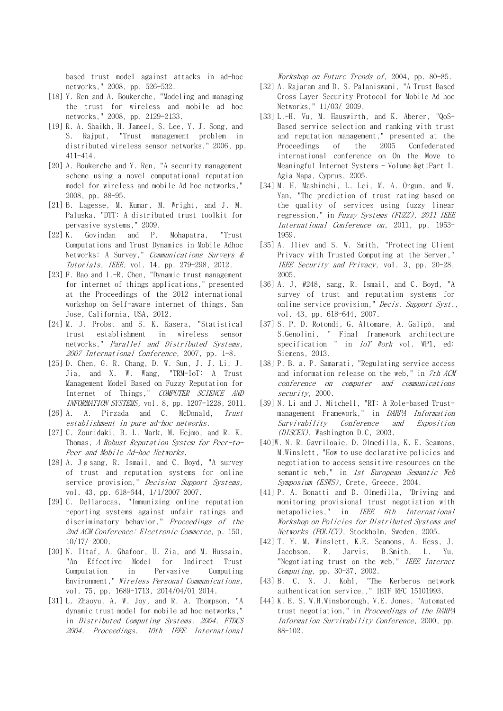based trust model against attacks in ad-hoc networks," 2008, pp. 526-532.

- [18] Y. Ren and A. Boukerche, "Modeling and managing the trust for wireless and mobile ad hoc networks," 2008, pp. 2129-2133.
- [19] R. A. Shaikh, H. Jameel, S. Lee, Y. J. Song, and S. Rajput, "Trust management problem in distributed wireless sensor networks," 2006, pp. 411-414.
- [20] A. Boukerche and Y. Ren, "A security management scheme using a novel computational reputation model for wireless and mobile Ad hoc networks," 2008, pp. 88-95.
- [21] B. Lagesse, M. Kumar, M. Wright, and J. M. Paluska, "DTT: A distributed trust toolkit for pervasive systems," 2009.
- [22] K. Govindan and P. Mohapatra, "Trust Computations and Trust Dynamics in Mobile Adhoc Networks: A Survey," Communications Surveys & Tutorials, IEEE, vol. 14, pp. 279-298, 2012.
- [23] F. Bao and I.-R. Chen, "Dynamic trust management for internet of things applications," presented at the Proceedings of the 2012 international workshop on Self-aware internet of things, San Jose, California, USA, 2012.
- [24] M. J. Probst and S. K. Kasera, "Statistical trust establishment in wireless sensor networks," Parallel and Distributed Systems, 2007 International Conference, 2007, pp. 1-8.
- [25] D. Chen, G. R. Chang, D. W. Sun, J. J. Li, J. Jia, and X. W. Wang, "TRM-IoT: A Trust Management Model Based on Fuzzy Reputation for Internet of Things," COMPUTER SCIENCE AND INFORMATION SYSTEMS, vol. 8, pp. 1207-1228, 2011.
- [26] A. A. Pirzada and C. McDonald, Trust establishment in pure ad-hoc networks.
- [27] C. Zouridaki, B. L. Mark, M. Hejmo, and R. K. Thomas, A Robust Reputation System for Peer-to-Peer and Mobile Ad-hoc Networks.
- [28] A. Jøsang, R. Ismail, and C. Boyd, "A survey of trust and reputation systems for online service provision," *Decision Support Systems*, vol. 43, pp. 618-644, 1/1/2007 2007.
- [29] C. Dellarocas, "Immunizing online reputation reporting systems against unfair ratings and discriminatory behavior," Proceedings of the 2nd ACM Conference: Electronic Commerce, p. 150, 10/17/ 2000.
- [30] N. Iltaf, A. Ghafoor, U. Zia, and M. Hussain, "An Effective Model for Indirect Trust Computation in Pervasive Computing Environment," Wireless Personal Communications, vol. 75, pp. 1689-1713, 2014/04/01 2014.
- [31] L. Zhaoyu, A. W. Joy, and R. A. Thompson, "A dynamic trust model for mobile ad hoc networks," in Distributed Computing Systems, 2004. FTDCS 2004. Proceedings. 10th IEEE International

Workshop on Future Trends of, 2004, pp. 80-85.

- [32] A. Rajaram and D. S. Palaniswami, "A Trust Based Cross Layer Security Protocol for Mobile Ad hoc Networks," 11/03/ 2009.
- [33] L.-H. Vu, M. Hauswirth, and K. Aberer, "QoS-Based service selection and ranking with trust and reputation management," presented at the Proceedings of the 2005 Confederated international conference on On the Move to Meaningful Internet Systems - Volume > Part I, Agia Napa, Cyprus, 2005.
- [34] M. H. Mashinchi, L. Lei, M. A. Orgun, and W. Yan, "The prediction of trust rating based on the quality of services using fuzzy linear regression," in Fuzzy Systems (FUZZ), 2011 IEEE International Conference on, 2011, pp. 1953- 1959.
- [35] A. Iliev and S. W. Smith, "Protecting Client Privacy with Trusted Computing at the Server," IEEE Security and Privacy, vol. 3, pp. 20-28, 2005.
- [36] A. J, #248, sang, R. Ismail, and C. Boyd, "A survey of trust and reputation systems for online service provision," Decis. Support Syst., vol. 43, pp. 618-644, 2007.
- [37] S. P. D. Rotondi, G. Altomare, A. Galipò, and S.Genolini, " Final framework architecture specification " in *IoT Work* vol. WP1, ed: Siemens, 2013.
- [38] P. B. a. P. Samarati, "Regulating service access and information release on the web," in 7th ACM conference on computer and communications security, 2000.
- [39] N. Li and J. Mitchell, "RT: A Role-based Trustmanagement Framework," in DARPA Information Survivability Conference and Exposition (DISCEX), Washington D.C, 2003.
- [40]W. N. R. Gavriloaie, D. Olmedilla, K. E. Seamons, M.Winslett, "How to use declarative policies and negotiation to access sensitive resources on the semantic web," in 1st European Semantic Web Symposium (ESWS), Crete, Greece, 2004.
- [41] P. A. Bonatti and D. Olmedilla, "Driving and monitoring provisional trust negotiation with metapolicies," in IEEE 6th International Workshop on Policies for Distributed Systems and Networks (POLICY), Stockholm, Sweden, 2005.
- [42] T. Y. M. Winslett, K.E. Seamons, A. Hess, J. Jacobson, R. Jarvis, B.Smith, L. Yu, "Negotiating trust on the web," IEEE Internet Computing, pp. 30-37, 2002.
- [43] B. C. N. J. Kohl, "The Kerberos network authentication service,," IETF RFC 15101993.
- [44] K. E. S. W.H.Winsborough, V.E. Jones, "Automated trust negotiation," in Proceedings of the DARPA Information Survivability Conference, 2000, pp. 88-102.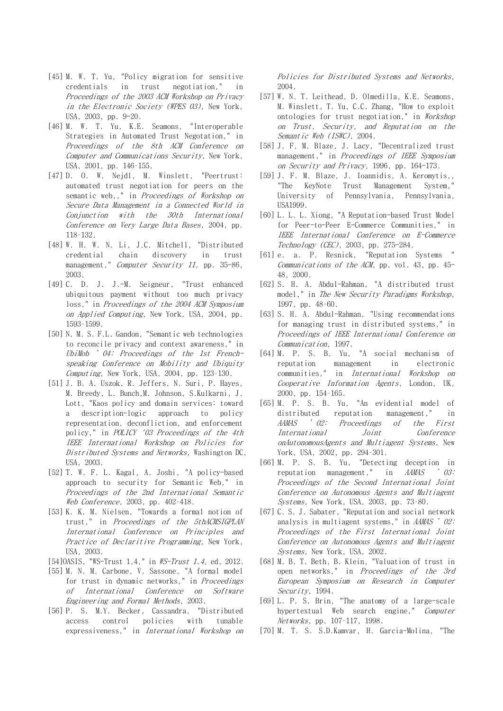- [45] M. W. T. Yu, "Policy migration for sensitive credentials in trust negotiation," in Proceedings of the 2003 ACM Workshop on Privacy in the Electronic Society (WPES 03), New York, USA, 2003, pp. 9-20.
- [46] M. W. T. Yu, K.E. Seamons, "Interoperable Strategies in Automated Trust Negotation," in Proceedings of the 8th ACM Conference on Computer and Communications Security, New York, USA, 2001, pp. 146–155.
- [47] D. O. W. Nejdl, M. Winslett, "Peertrust: automated trust negotiation for peers on the semantic web,," in Proceedings of Workshop on Secure Data Management in a Connected World in Conjunction with the 30th International Conference on Very Large Data Bases, 2004, pp. 118–132.
- [48] W. H. W. N. Li, J.C. Mitchell, "Distributed credential chain discovery in trust management," *Computer Security 11*, pp. 35-86, 2003.
- [49] C. D. J. J.-M. Seigneur, "Trust enhanced ubiquitous payment without too much privacy loss," in Proceedings of the 2004 ACM Symposium on Applied Computing, New York, USA, 2004, pp. 1593–1599.
- [50] N. M. S. F.L. Gandon, "Semantic web technologies to reconcile privacy and context awareness," in UbiMob '04: Proceedings of the 1st Frenchspeaking Conference on Mobility and Ubiquity Computing, New York, USA, 2004, pp. 123-130.
- [51] J. B. A. Uszok, R. Jeffers, N. Suri, P. Hayes, M. Breedy, L. Bunch,M. Johnson, S.Kulkarni, J. Lott, "Kaos policy and domain services: toward a description-logic approach to policy representation, deconfliction, and enforcement policy," in POLICY '03 Proceedings of the 4th IEEE International Workshop on Policies for Distributed Systems and Networks, Washington DC, USA, 2003.
- [52] T. W. F. L. Kagal, A. Joshi, "A policy-based approach to security for Semantic Web," in Proceedings of the 2nd International Semantic Web Conference, 2003, pp. 402–418.
- [53] K. K. M. Nielsen, "Towards a formal notion of trust," in Proceedings of the 5thACMSIGPLAN International Conference on Principles and Practice of Declaritive Programming, New York, USA, 2003.
- [54]OASIS, "WS-Trust 1.4," in *WS-Trust 1.4*, ed, 2012.
- [55] M. N. M. Carbone, V. Sassone, "A formal model for trust in dynamic networks," in Proceedings of International Conference on Software Engineering and Formal Methods, 2003.
- [56] P. S. M.Y. Becker, Cassandra, "Distributed access control policies with tunable expressiveness," in International Workshop on

Policies for Distributed Systems and Networks, 2004.

- [57] W. N. T. Leithead, D. Olmedilla, K.E. Seamons, M. Winslett, T. Yu, C.C. Zhang, "How to exploit ontologies for trust negotiation," in Workshop on Trust, Security, and Reputation on the Semantic Web (ISWC), 2004.
- [58] J. F. M. Blaze, J. Lacy, "Decentralized trust management," in Proceedings of IEEE Symposium on Security and Privacy, 1996, pp. 164-173.
- [59] J. F. M. Blaze, J. Ioannidis, A. Keromytis,, "The KeyNote Trust Management System," University of Pennsylvania, Pennsylvania, USA1999.
- [60] L. L. L. Xiong, "A Reputation-based Trust Model for Peer-to-Peer E-Commerce Communities," in IEEE International Conference on E-Commerce Technology (CEC), 2003, pp. 275-284.
- [61] e. a. P. Resnick, "Reputation Systems " Communications of the ACM, pp. vol. 43, pp. 45- 48, 2000.
- [62] S. H. A. Abdul-Rahman, "A distributed trust model," in The New Security Paradigms Workshop, 1997, pp. 48–60.
- [63] S. H. A. Abdul-Rahman, "Using recommendations for managing trust in distributed systems," in Proceedings of IEEE International Conference on Communication, 1997.
- [64] M. P. S. B. Yu, "A social mechanism of reputation management in electronic communities," in International Workshop on Cooperative Information Agents, London, UK, 2000, pp. 154–165.
- [65] M. P. S. B. Yu, "An evidential model of distributed reputation management," in AAMAS '02: Proceedings of the First International Joint Conference onAutonomousAgents and Multiagent Systems, New York, USA, 2002, pp. 294–301.
- [66] M. P. S. B. Yu, "Detecting deception in reputation management," in AAMAS '03: Proceedings of the Second International Joint Conference on Autonomous Agents and Multiagent Systems, New York, USA, 2003, pp. 73–80.
- [67] C. S. J. Sabater, "Reputation and social network analysis in multiagent systems," in AAMAS ' 02: Proceedings of the First International Joint Conference on Autonomous Agents and Multiagent Systems, New York, USA, 2002.
- [68] M. B. T. Beth, B. Klein, "Valuation of trust in open networks," in Proceedings of the 3rd European Symposium on Research in Computer Security, 1994.
- [69] L. P. S. Brin, "The anatomy of a large-scale hypertextual Web search engine," Computer Networks, pp. 107–117, 1998.
- [70] M. T. S. S.D.Kamvar, H. Garcia-Molina, "The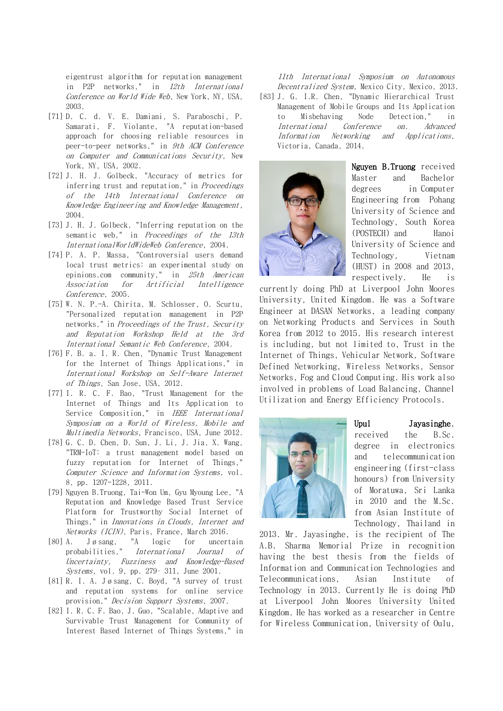eigentrust algorithm for reputation management in P2P networks," in 12th International Conference on World Wide Web, New York, NY, USA, 2003.

- [71] D. C. d. V. E. Damiani, S. Paraboschi, P. Samarati, F. Violante, "A reputation-based approach for choosing reliable resources in peer-to-peer networks," in 9th ACM Conference on Computer and Communications Security, New York, NY, USA, 2002.
- [72] J. H. J. Golbeck, "Accuracy of metrics for inferring trust and reputation," in Proceedings of the 14th International Conference on Knowledge Engineering and Knowledge Management, 2004.
- [73] J. H. J. Golbeck, "Inferring reputation on the semantic web." in *Proceedings of the 13th* InternationalWorldWideWeb Conference, 2004.
- [74] P. A. P. Massa, "Controversial users demand local trust metrics: an experimental study on epinions.com community," in 25th American Association for Artificial Intelligence Conference, 2005.
- [75] W. N. P.-A. Chirita, M. Schlosser, O. Scurtu, "Personalized reputation management in P2P networks," in Proceedings of the Trust, Security and Reputation Workshop Held at the 3rd International Semantic Web Conference, 2004.
- [76] F. B. a. I. R. Chen, "Dynamic Trust Management for the Internet of Things Applications," in International Workshop on Self-Aware Internet of Things, San Jose, USA, 2012.
- [77] I. R. C. F. Bao, "Trust Management for the Internet of Things and Its Application to Service Composition," in IEEE International Symposium on a World of Wireless, Mobile and Multimedia Networks, Francisco, USA, June 2012.
- [78] G. C. D. Chen, D. Sun, J. Li, J. Jia, X. Wang, "TRM-IoT: a trust management model based on fuzzy reputation for Internet of Things," Computer Science and Information Systems, vol. 8, pp. 1207-1228, 2011.
- [79] Nguyen B.Truong, Tai-Won Um, Gyu Myoung Lee, "A Reputation and Knowledge Based Trust Service Platform for Trustworthy Social Internet of Things," in Innovations in Clouds, Internet and Networks (ICIN), Paris, France, March 2016.
- [80] A. Jøsang, "A logic for uncertain probabilities," International Journal of Uncertainty, Fuzziness and Knowledge-Based Systems, vol. 9, pp. 279– 311, June 2001.
- [81] R. I. A. Jøsang, C. Boyd, "A survey of trust and reputation systems for online service provision," Decision Support Systems, 2007.
- [82] I. R. C. F. Bao, J. Guo, "Scalable, Adaptive and Survivable Trust Management for Community of Interest Based Internet of Things Systems," in

11th International Symposium on Autonomous Decentralized System, Mexico City, Mexico, 2013.

[83] J. G. I.R. Chen, "Dynamic Hierarchical Trust Management of Mobile Groups and Its Application to Misbehaving Node Detection," in International Conference on. Advanced Information Networking and Applications, Victoria, Canada, 2014.



Nguyen B.Truong received Master and Bachelor degrees in Computer Engineering from [Pohang](https://sites.google.com/)  [University of Science and](https://sites.google.com/)  [Technology, South Korea](https://sites.google.com/)  [\(POSTECH\)](https://sites.google.com/) and [Hanoi](http://en.hust.edu.vn/home;jsessionid=4E8DD61FE9052332299D80C843ECD26C)  [University of Science and](http://en.hust.edu.vn/home;jsessionid=4E8DD61FE9052332299D80C843ECD26C)  [Technology, Vietnam](http://en.hust.edu.vn/home;jsessionid=4E8DD61FE9052332299D80C843ECD26C)  [\(HUST\)](http://en.hust.edu.vn/home;jsessionid=4E8DD61FE9052332299D80C843ECD26C) in 2008 and 2013, respectively. He is

currently doing PhD at Liverpool John Moores University, United Kingdom. He was a Software Engineer at [DASAN Networks,](http://www.dasannetworks.com/) a leading company on Networking Products and Services in South Korea from 2012 to 2015. His research interest is including, but not limited to, Trust in the Internet of Things, Vehicular Network, Software Defined Networking, Wireless Networks, Sensor Networks, Fog and Cloud Computing. His work also involved in problems of Load Balancing, Channel Utilization and Energy Efficiency Protocols.



#### Upul Jayasinghe,

received the B.Sc. degree in electronics and telecommunication engineering (first-class honours) from University of Moratuwa, Sri Lanka in 2010 and the M.Sc. from Asian Institute of Technology, Thailand in

2013. Mr. Jayasinghe, is the recipient of The A.B. Sharma Memorial Prize in recognition having the best thesis from the fields of Information and Communication Technologies and Telecommunications, Asian Institute of Technology in 2013. Currently He is doing PhD at Liverpool John Moores University United Kingdom. He has worked as a researcher in Centre for Wireless Communication, University of Oulu,